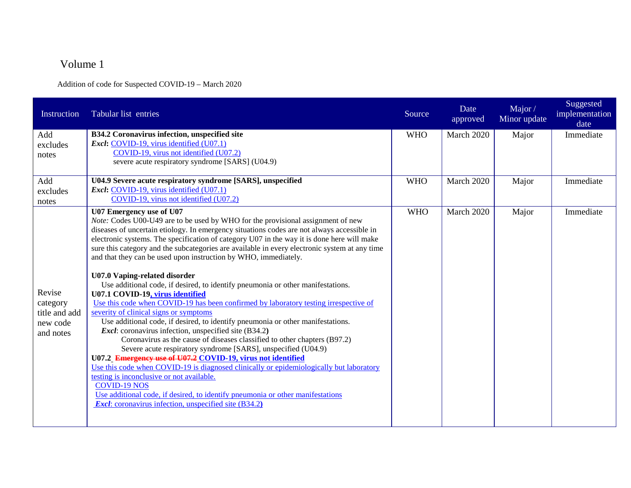## Volume 1

Addition of code for Suspected COVID-19 – March 2020

| Instruction                                                  | Tabular list entries                                                                                                                                                                                                                                                                                                                                                                                                                                                                                                                                                                                                                                                                                                                                                                                                                                                                                                                                                                                                                                                                                                                                                                                                                                                                                                                                                                                                                                    | Source     | Date<br>approved | Major/<br>Minor update | Suggested<br>implementation<br>date |
|--------------------------------------------------------------|---------------------------------------------------------------------------------------------------------------------------------------------------------------------------------------------------------------------------------------------------------------------------------------------------------------------------------------------------------------------------------------------------------------------------------------------------------------------------------------------------------------------------------------------------------------------------------------------------------------------------------------------------------------------------------------------------------------------------------------------------------------------------------------------------------------------------------------------------------------------------------------------------------------------------------------------------------------------------------------------------------------------------------------------------------------------------------------------------------------------------------------------------------------------------------------------------------------------------------------------------------------------------------------------------------------------------------------------------------------------------------------------------------------------------------------------------------|------------|------------------|------------------------|-------------------------------------|
| Add<br>excludes<br>notes                                     | B34.2 Coronavirus infection, unspecified site<br>Excl: COVID-19, virus identified (U07.1)<br>COVID-19, virus not identified (U07.2)<br>severe acute respiratory syndrome [SARS] (U04.9)                                                                                                                                                                                                                                                                                                                                                                                                                                                                                                                                                                                                                                                                                                                                                                                                                                                                                                                                                                                                                                                                                                                                                                                                                                                                 | <b>WHO</b> | March 2020       | Major                  | Immediate                           |
| Add<br>excludes<br>notes                                     | U04.9 Severe acute respiratory syndrome [SARS], unspecified<br>Excl: COVID-19, virus identified (U07.1)<br>COVID-19, virus not identified (U07.2)                                                                                                                                                                                                                                                                                                                                                                                                                                                                                                                                                                                                                                                                                                                                                                                                                                                                                                                                                                                                                                                                                                                                                                                                                                                                                                       | <b>WHO</b> | March 2020       | Major                  | Immediate                           |
| Revise<br>category<br>title and add<br>new code<br>and notes | U07 Emergency use of U07<br>Note: Codes U00-U49 are to be used by WHO for the provisional assignment of new<br>diseases of uncertain etiology. In emergency situations codes are not always accessible in<br>electronic systems. The specification of category U07 in the way it is done here will make<br>sure this category and the subcategories are available in every electronic system at any time<br>and that they can be used upon instruction by WHO, immediately.<br>U07.0 Vaping-related disorder<br>Use additional code, if desired, to identify pneumonia or other manifestations.<br>U07.1 COVID-19, virus identified<br>Use this code when COVID-19 has been confirmed by laboratory testing irrespective of<br>severity of clinical signs or symptoms<br>Use additional code, if desired, to identify pneumonia or other manifestations.<br><i>Excl</i> : coronavirus infection, unspecified site (B34.2)<br>Coronavirus as the cause of diseases classified to other chapters (B97.2)<br>Severe acute respiratory syndrome [SARS], unspecified (U04.9)<br>U07.2 Emergency use of U07.2 COVID-19, virus not identified<br>Use this code when COVID-19 is diagnosed clinically or epidemiologically but laboratory<br>testing is inconclusive or not available.<br><b>COVID-19 NOS</b><br>Use additional code, if desired, to identify pneumonia or other manifestations<br><b>Excl:</b> coronavirus infection, unspecified site (B34.2) | <b>WHO</b> | March 2020       | Major                  | Immediate                           |